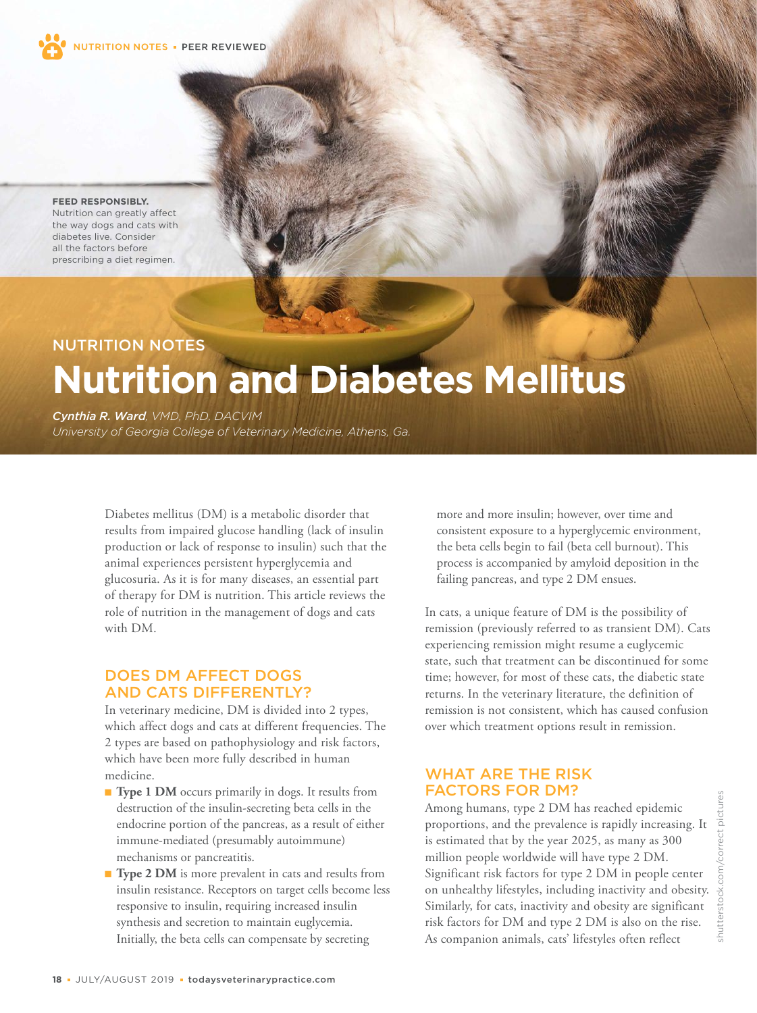

**FEED RESPONSIBLY.** Nutrition can greatly affect the way dogs and cats with diabetes live. Consider all the factors before prescribing a diet regimen.

# NUTRITION NOTES **Nutrition and Diabetes Mellitus**

*Cynthia R. Ward, VMD, PhD, DACVIM*

*University of Georgia College of Veterinary Medicine, Athens, Ga.*

Diabetes mellitus (DM) is a metabolic disorder that results from impaired glucose handling (lack of insulin production or lack of response to insulin) such that the animal experiences persistent hyperglycemia and glucosuria. As it is for many diseases, an essential part of therapy for DM is nutrition. This article reviews the role of nutrition in the management of dogs and cats with DM.

# DOES DM AFFECT DOGS AND CATS DIFFERENTLY?

In veterinary medicine, DM is divided into 2 types, which affect dogs and cats at different frequencies. The 2 types are based on pathophysiology and risk factors, which have been more fully described in human medicine.

- **Type 1 DM** occurs primarily in dogs. It results from destruction of the insulin-secreting beta cells in the endocrine portion of the pancreas, as a result of either immune-mediated (presumably autoimmune) mechanisms or pancreatitis.
- **Type 2 DM** is more prevalent in cats and results from insulin resistance. Receptors on target cells become less responsive to insulin, requiring increased insulin synthesis and secretion to maintain euglycemia. Initially, the beta cells can compensate by secreting

more and more insulin; however, over time and consistent exposure to a hyperglycemic environment, the beta cells begin to fail (beta cell burnout). This process is accompanied by amyloid deposition in the failing pancreas, and type 2 DM ensues.

In cats, a unique feature of DM is the possibility of remission (previously referred to as transient DM). Cats experiencing remission might resume a euglycemic state, such that treatment can be discontinued for some time; however, for most of these cats, the diabetic state returns. In the veterinary literature, the definition of remission is not consistent, which has caused confusion over which treatment options result in remission.

# WHAT ARE THE RISK FACTORS FOR DM?

Among humans, type 2 DM has reached epidemic proportions, and the prevalence is rapidly increasing. It is estimated that by the year 2025, as many as 300 million people worldwide will have type 2 DM. Significant risk factors for type 2 DM in people center on unhealthy lifestyles, including inactivity and obesity. Similarly, for cats, inactivity and obesity are significant risk factors for DM and type 2 DM is also on the rise. As companion animals, cats' lifestyles often reflect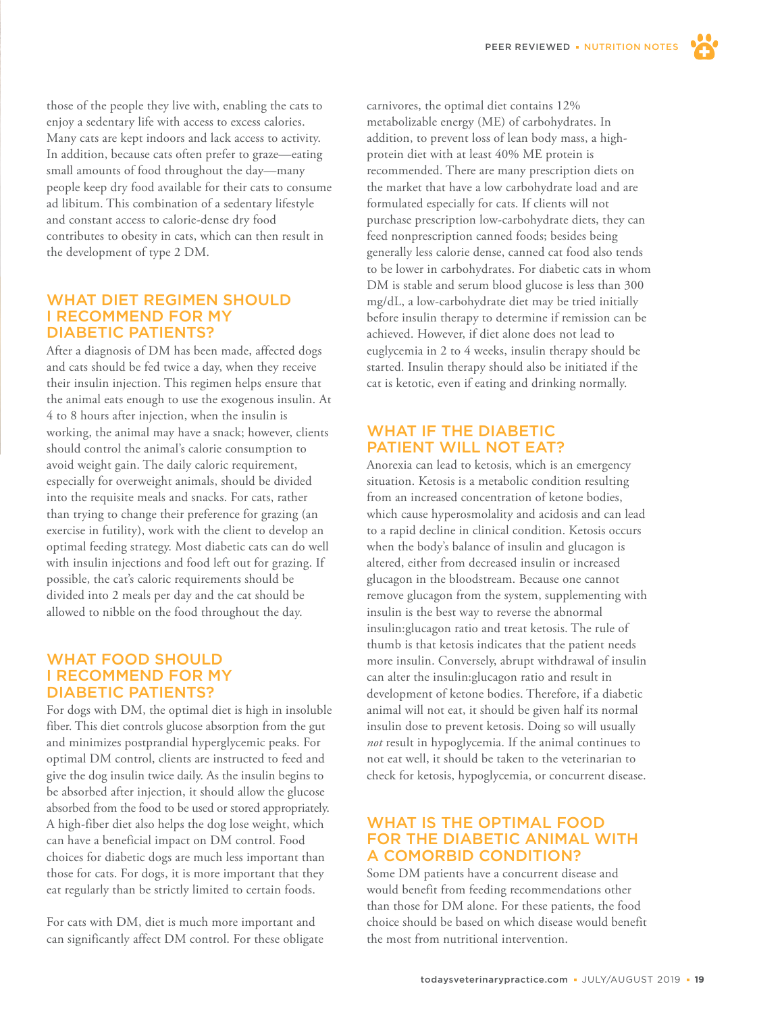those of the people they live with, enabling the cats to enjoy a sedentary life with access to excess calories. Many cats are kept indoors and lack access to activity. In addition, because cats often prefer to graze—eating small amounts of food throughout the day—many people keep dry food available for their cats to consume ad libitum. This combination of a sedentary lifestyle and constant access to calorie-dense dry food contributes to obesity in cats, which can then result in the development of type 2 DM.

#### WHAT DIET REGIMEN SHOULD I RECOMMEND FOR MY DIABETIC PATIENTS?

After a diagnosis of DM has been made, affected dogs and cats should be fed twice a day, when they receive their insulin injection. This regimen helps ensure that the animal eats enough to use the exogenous insulin. At 4 to 8 hours after injection, when the insulin is working, the animal may have a snack; however, clients should control the animal's calorie consumption to avoid weight gain. The daily caloric requirement, especially for overweight animals, should be divided into the requisite meals and snacks. For cats, rather than trying to change their preference for grazing (an exercise in futility), work with the client to develop an optimal feeding strategy. Most diabetic cats can do well with insulin injections and food left out for grazing. If possible, the cat's caloric requirements should be divided into 2 meals per day and the cat should be allowed to nibble on the food throughout the day.

### WHAT FOOD SHOULD I RECOMMEND FOR MY DIABETIC PATIENTS?

For dogs with DM, the optimal diet is high in insoluble fiber. This diet controls glucose absorption from the gut and minimizes postprandial hyperglycemic peaks. For optimal DM control, clients are instructed to feed and give the dog insulin twice daily. As the insulin begins to be absorbed after injection, it should allow the glucose absorbed from the food to be used or stored appropriately. A high-fiber diet also helps the dog lose weight, which can have a beneficial impact on DM control. Food choices for diabetic dogs are much less important than those for cats. For dogs, it is more important that they eat regularly than be strictly limited to certain foods.

For cats with DM, diet is much more important and can significantly affect DM control. For these obligate carnivores, the optimal diet contains 12% metabolizable energy (ME) of carbohydrates. In addition, to prevent loss of lean body mass, a highprotein diet with at least 40% ME protein is recommended. There are many prescription diets on the market that have a low carbohydrate load and are formulated especially for cats. If clients will not purchase prescription low-carbohydrate diets, they can feed nonprescription canned foods; besides being generally less calorie dense, canned cat food also tends to be lower in carbohydrates. For diabetic cats in whom DM is stable and serum blood glucose is less than 300 mg/dL, a low-carbohydrate diet may be tried initially before insulin therapy to determine if remission can be achieved. However, if diet alone does not lead to euglycemia in 2 to 4 weeks, insulin therapy should be started. Insulin therapy should also be initiated if the cat is ketotic, even if eating and drinking normally.

### WHAT IF THE DIABETIC PATIENT WILL NOT EAT?

Anorexia can lead to ketosis, which is an emergency situation. Ketosis is a metabolic condition resulting from an increased concentration of ketone bodies, which cause hyperosmolality and acidosis and can lead to a rapid decline in clinical condition. Ketosis occurs when the body's balance of insulin and glucagon is altered, either from decreased insulin or increased glucagon in the bloodstream. Because one cannot remove glucagon from the system, supplementing with insulin is the best way to reverse the abnormal insulin:glucagon ratio and treat ketosis. The rule of thumb is that ketosis indicates that the patient needs more insulin. Conversely, abrupt withdrawal of insulin can alter the insulin:glucagon ratio and result in development of ketone bodies. Therefore, if a diabetic animal will not eat, it should be given half its normal insulin dose to prevent ketosis. Doing so will usually *not* result in hypoglycemia. If the animal continues to not eat well, it should be taken to the veterinarian to check for ketosis, hypoglycemia, or concurrent disease.

#### WHAT IS THE OPTIMAL FOOD FOR THE DIABETIC ANIMAL WITH A COMORBID CONDITION?

Some DM patients have a concurrent disease and would benefit from feeding recommendations other than those for DM alone. For these patients, the food choice should be based on which disease would benefit the most from nutritional intervention.